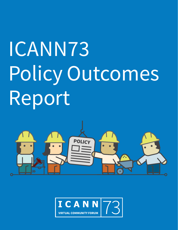# ICANN73 Policy Outcomes Report



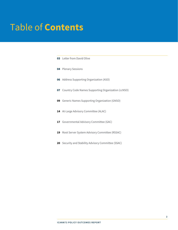# Table of **Contents**

| <b>03</b> Letter from David Olive                      |
|--------------------------------------------------------|
| <b>04</b> Plenary Sessions                             |
| 06 Address Supporting Organization (ASO)               |
| 07 Country Code Names Supporting Organization (ccNSO)  |
| <b>09</b> Generic Names Supporting Organization (GNSO) |
| 14 At-Large Advisory Committee (ALAC)                  |
| <b>17</b> Governmental Advisory Committee (GAC)        |
| 19 Root Server System Advisory Committee (RSSAC)       |
| 20 Security and Stability Advisory Committee (SSAC)    |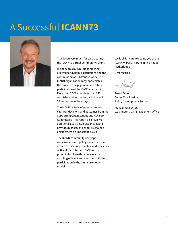# <span id="page-2-0"></span>A Successful **ICANN73**



Thank you very much for participating in the ICANN73 Virtual Community Forum!

We hope this ICANN Public Meeting allowed for dynamic discussions and the continuation of substantive work. The ICANN organization (org) appreciates the proactive engagement and robust participation of the ICANN community. More than 1,570 attendees from 146 countries and territories participated in 79 sessions over four days.

The ICANN73 Policy Outcomes report captures decisions and outcomes from the Supporting Organizations and Advisory Committees. This report also reviews additional activities, looks ahead, and provides resources to enable sustained engagement on important issues.

The ICANN community develops consensus-driven policy and advice that ensure the security, stability, and resiliency of the global Internet. ICANN org is proud to facilitate this core work by enabling efficient and effective bottom-up participation in the multistakeholder model.

We look forward to seeing you at the ICANN74 Policy Forum in The Hague, Netherlands.

Best regards,

**David Olive** Senior Vice President, Policy Development Support

Managing Director, Washington, D.C. Engagement Office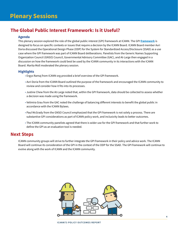# <span id="page-3-0"></span>**The Global Public Interest Framework: Is it Useful?**

#### **Agenda**

This plenary session explored the role of the global public interest (GPI) framework at ICANN. The GPI **[framework](https://community.icann.org/display/prjxplrpublicint/GPI+Toolkit)** is designed to focus on specific contexts or issues that require a decision by the ICANN Board. ICANN Board member Avri Doria discussed the Operational Design Phase (ODP) for the System for Standardized Access/Disclosure (SSAD) as a use case where the GPI framework was part of ICANN Board deliberations. Panelists from the Generic Names Supporting Organization Council (GNSO) Council, Governmental Advisory Committee (GAC), and At-Large then engaged in a discussion on how the framework could best be used by the ICANN community in its interactions with the ICANN Board. Marita Moll moderated the plenary session.

#### **Highlights**

- Ergys Ramaj from ICANN org provided a brief overview of the GPI framework.
- Avri Doria from the ICANN Board outlined the purpose of the framework and encouraged the ICANN community to review and consider how it fits into its processes.
- Justine Chew from the At-Large noted that, within the GPI framework, data should be collected to assess whether a decision was made using the framework.
- Velimira Grau from the GAC noted the challenge of balancing different interests to benefit the global public in accordance with the ICANN Bylaws.
- Paul McGrady from the GNSO Council emphasized that the GPI framework is not solely a process. There are substantive GPI considerations as part of ICANN policy work, and inclusivity leads to better outcomes.
- The ICANN community panelists agreed that there is wider use for the GPI framework and that further work to define the GPI as an evaluation tool is needed.

# **Next Steps**

ICANN community groups will strive to further integrate the GPI framework in their policy and advice work. The ICANN Board will continue its consideration of the GPI in the context of the ODP for the SSAD. The GPI framework will continue to evolve along with the work of ICANN and the ICANN community.

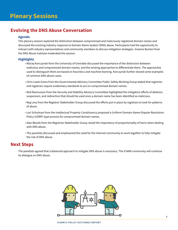# **Evolving the DNS Abuse Conversation**

#### **Agenda**

This plenary session explored the distinction between compromised and maliciously registered domain names and discussed the evolving industry response to Domain Name System (DNS) abuse. Participants had the opportunity to interact with industry representatives and community members to discuss mitigation strategies. Graeme Bunton from the DNS Abuse Institute moderated the session.

#### **Highlights**

- Maciej Korczynski from the University of Grenoble discussed the importance of the distinction between malicious and compromised domain names, and the existing approaches to differentiate them. The approaches used to distinguish them are based on heuristics and machine learning. Korczynski further shared some examples of common DNS abuse cases.
- Chris Lewis Evans from the Governmental Advisory Committee Public Safety Working Group stated that registries and registrars require evidentiary standards to act on compromised domain names.
- Rod Rasmussen from the Security and Stability Advisory Committee highlighted the mitigation efforts of deletion, suspension, and redirection that should be used once a domain name has been identified as malicious.
- Reg Levy from the Registrar Stakeholder Group discussed the efforts put in place by registrars to look for patterns of abuse.
- Lori Schulman from the Intellectual Property Constituency proposed a Uniform Domain-Name Dispute-Resolution Policy (UDRP)-type process for compromised domain names.
- Alan Woods from the Registries Stakeholder Group raised the importance of proportionality of harm when dealing with DNS abuse.
- The panelists discussed and emphasized the need for the Internet community to work together to fully mitigate the risk of DNS abuse.

# **Next Steps**

The panelists agreed that a balanced approach to mitigate DNS abuse is necessary. The ICANN community will continue its dialogue on DNS abuse.

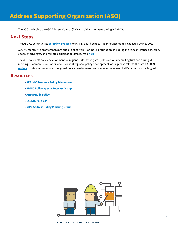<span id="page-5-0"></span>The ASO, including the ASO Address Council (ASO AC), did not convene during ICANN73.

# **Next Steps**

The ASO AC continues its **[selection process](https://aso.icann.org/icann-board/icann-board-elections/2022-icann-board-of-directors-election/)** for ICANN Board Seat 10. An announcement is expected by May 2022.

ASO AC monthly teleconferences are open to observers. For more information, including the teleconference schedule, observer privileges, and remote participation details, read **[here](https://aso.icann.org/aso-ac-teleconference-open-for-observers/)**.

The ASO conducts policy development on regional Internet registry (RIR) community mailing lists and during RIR meetings. For more information about current regional policy development work, please refer to the latest ASO AC **[update](https://aso.icann.org/documents/presentations/)**. To stay informed about regional policy development, subscribe to the relevant RIR community mailing list.

# **Resources**

- **[AFRINIC Resource Policy Discussion](https://lists.afrinic.net/mailman/listinfo.cgi/rpd)**
- **APNIC Policy Special Interest Group**
- **[ARIN Public Policy](https://mailman.apnic.net/mailman/listinfo/sig-policy)**
- **[LACNIC Políticas](https://mail.lacnic.net/mailman/listinfo/politicas)**
- **[RIPE Address Policy Working Group](https://www.ripe.net/mailman/listinfo/address-policy-wg/)**

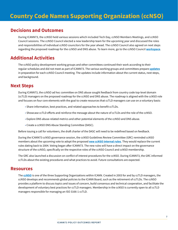<span id="page-6-0"></span>During ICANN73, the ccNSO held various sessions which included Tech Day, ccNSO Members Meetings, and ccNSO Council sessions. The ccNSO Council elected a new leadership team for the upcoming year and discussed the roles and responsibilities of individual ccNSO councilors for the year ahead. The ccNSO Council also agreed on next steps regarding the proposed roadmap for the ccNSO and DNS abuse. To learn more, go to the ccNSO Council **[workspace](https://community.icann.org/display/ccNSOCWS/March+2022+-+at+ICANN73)**.

# **Additional Activities**

The ccNSO policy development working groups and other committees continued their work according to their regular schedules and did not meet as part of ICANN73. The various working groups and committees prepare **[updates](https://community.icann.org/display/ccnsowkspc/ccNSO+Working+Group+and+Committee+updates)** in preparation for each ccNSO Council meeting. The updates include information about the current status, next steps, and background.

# **Next Steps**

During ICANN73, the ccNSO ad hoc committee on DNS abuse sought feedback from country code top-level domain (ccTLD) managers on the proposed roadmap for the ccNSO and DNS abuse. The roadmap is aligned with the ccNSO role and focuses on four core elements with the goal to create resources that ccTLD managers can use on a voluntary basis:

- Share information, best practices, and related approaches to benefit ccTLDs.
- Showcase ccTLD efforts and reinforce the message about the nature of ccTLDs and the role of the ccNSO.
- Explore DNS abuse-related metrics and other potential elements of the ccNSO and DNS abuse.
- Create a ccNSO DNS Abuse Standing Committee (DASC).

Before issuing a call for volunteers, the draft charter of the DASC will need to be redefined based on feedback.

During the ICANN73 ccNSO governance session, the ccNSO Guidelines Review Committee (GRC) reminded ccNSO members about the upcoming vote to adopt the proposed **[new ccNSO internal rules](https://ccnso.icann.org/sites/default/files/field-attached/timeline-vote-updated-rules-25feb22-en.pdf)**. They would replace the current rules dating back to 2004. Voting began after ICANN73. The new rules will have a direct impact on the governance structure of the ccNSO, specifically on the respective roles of the ccNSO Council and ccNSO membership.

The GRC also launched a discussion on conflict of interest procedures for the ccNSO. During ICANN73, the GRC informed ccTLDs about the existing procedures and what practices to avoid. Future consultations are expected.

# **Resources**

The **[ccNSO](https://ccnso.icann.org/en)** is one of the three Supporting Organizations within ICANN. Created in 2003 for and by ccTLD managers, the ccNSO develops and recommends global policies to the ICANN Board, such as the retirement of ccTLDs. The ccNSO provides a platform to discuss topics and issues of concern, build consensus and technical cooperation, and facilitate the development of voluntary best practices for ccTLD managers. Membership in the ccNSO is currently open to all ccTLD managers responsible for managing an ISO 3166-1 ccTLD.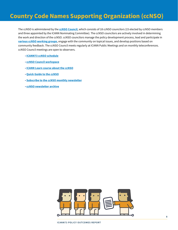# **Country Code Names Supporting Organization (ccNSO)**

The ccNSO is administered by the **[ccNSO Council](https://ccnso.icann.org/en/about/council.htm)**, which consists of 18 ccNSO councilors (15 elected by ccNSO members and three appointed by the ICANN Nominating Committee). The ccNSO councilors are actively involved in determining the work and direction of the ccNSO. ccNSO councilors manage the policy development process, lead and participate in **[various ccNSO working groups](https://ccnso.icann.org/en/workinggroups)**, engage with the community on topical issues, and develop positions based on community feedback. The ccNSO Council meets regularly at ICANN Public Meetings and on monthly teleconferences. ccNSO Council meetings are open to observers.

- **[ICANN73 ccNSO schedule](https://community.icann.org/display/ccnsowkspc/ICANN73+Virtual+Community+Forum+-+March+2022)**
- **[ccNSO Council workspace](https://community.icann.org/display/ccNSOCWS/Council++Workspace)**
- **[ICANN Learn course about the ccNSO](https://account.icann.org/login)**
- **[Quick Guide to the ccNSO](https://community.icann.org/pages/viewpage.action?pageId=66085237)**
- **[Subscribe to the ccNSO monthly newsletter](https://community.icann.org/display/ccnsowkspc/ccNSO+Newsletter)**
- **[ccNSO newsletter archive](https://community.icann.org/display/ccnsowkspc/ccNSO+Newsletter)**

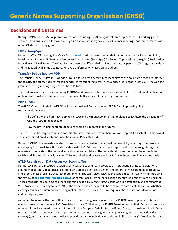<span id="page-8-0"></span>During ICANN73, the GNSO organized 24 sessions, including GNSO policy development process (PDP) working group sessions, sessions devoted to stakeholder group and constituency work, GNSO Council meetings, and joint sessions with other ICANN community groups.

#### **EPDP-TempSpec**

During its ICANN73 meeting, the ICANN Board **[voted](https://www.icann.org/resources/board-material/resolutions-2022-03-10-en)** to adopt the recommendations contained in the Expedited Policy Development Process (EPDP) on the Temporary Specification (TempSpec) for Generic Top-Level Domain (gTLD) Registration Data Phase 2A [Final Report.](https://gnso.icann.org/sites/default/files/file/field-file-attach/epdp-phase-2a-updated-final-report-03sep21-en.pdf) The Final Report covers the differentiation of legal vs. natural persons' gTLD registration data and the feasibility of unique contacts to have a uniform anonymized email address.

#### **Transfer Policy Review PDP**

The Transfer Policy Review PDP Working Group is tasked with determining if changes to the policy are needed to improve the security and efficacy of inter-registrar and inter-registrant transfers. The two-phase PDP began in May 2021. The working group is currently making progress on Phase 1A topics.

The working group had a session during ICANN73 and provided a brief update on its work. It then continued deliberations on Denial of Transfers and initiated a discussion on bulk use cases for inter-registrar transfers.

#### **EPDP-IDNs**

The GNSO Council initiated the EPDP on Internationalized Domain Names (EPDP-IDNs) to provide policy recommendations on:

- The definition of all top-level domains (TLDs) and the management of variant labels to facilitate the delegation of variant gTLDs in the root zone.
- How the IDN Implementation Guidelines should be updated in the future.

The EPDP-IDNs has largely completed an initial review of substantive deliberations on "Topic A: Consistent Definition and Technical Utilization of RootZone Label Generation Rules (RZ-LGR)."

During ICANN73, the team deliberated on questions related to the operational framework by which registry operators could apply for or seek to activate allocatable variant gTLD labels. It considered a proposal to survey eligible registry operators to understand the demand for activating variant labels. The team also discussed whether there should be variable pricing associated with variant TLDs and whether allocatable variant TLDs can be activated on a rolling basis.

#### **gTLD Registration Data Accuracy Scoping Team**

During ICANN73, the gTLD Registration Data Accuracy Scoping Team provided an introduction on its consideration of a number of accuracy-related aspects. Topics included current enforcement and reporting, measurement of accuracy, and effectiveness of existing accuracy requirements. The team also reviewed the status of current work items, including the review of **[gap analysis input proposals](https://docs.google.com/document/d/1sScP8MwgDCg4yvFNAYwQVql7DQob60vX/edit)** for how to measure whether existing accuracy requirements are being met. These proposals include, among others, suggestions to survey registrars, to conduct a registrar audit, and to restart the WHOIS Accuracy Reporting System (ARS). The team reiterated its need to have concrete data points to confirm whether existing accuracy requirements are being met or if there are issues that may require either further consideration or additional policy work.

**9** subject(s), to request contracted parties to provide access to individual records and bulk access to gTLD registration data As part of the session, the ICANN Board liaison to the scoping team shared that the ICANN Board supports continued efforts to ensure the accuracy of gTLD registration data. To that end, the ICANN Board requested that ICANN org prepare a number of specific scenarios in consultation with the European Data Protection Board. The goal is to determine if ICANN org has a legitimate purpose, which is proportionate and not outweighed by the privacy rights of the individual data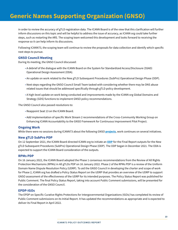# **Generic Names Supporting Organization (GNSO)**

in order to review the accuracy of gTLD registration data. The ICANN Board is of the view that this clarification will further inform discussions on this topic and will be helpful to address the issue of accuracy, as ICANN org could take further steps, such as restarting the ARS. The scoping team welcomed this development and looks forward to receiving the response so it can help inform its discussions.

Following ICANN73, the scoping team will continue to review the proposals for data collection and identify which specific next steps to pursue.

#### **GNSO Council Meeting**

During its meeting, the GNSO Council discussed:

- A debrief of the dialogue with the ICANN Board on the System for Standardized Access/Disclosure (SSAD) Operational Design Assessment (ODA).
- An update on work related to the New gTLD Subsequent Procedures (SubPro) Operational Design Phase (ODP).
- Next steps regarding the GNSO Council Small Team tasked with considering whether there may be DNS abuse related issues that should be addressed specifically through gTLD policy development.
- A high-level update on work being conducted and improvements made by the ICANN org Global Domains and Strategy (GDS) functions to implement GNSO policy recommendations.

The GNSO Council also passed resolutions to:

- Reappoint Seat 13 on the ICANN Board.
- Add implementation of specific Work Stream 2 recommendations of the Cross-Community Working Group on Enhancing ICANN Accountability to the GNSO Framework for Continuous Improvement Pilot Project.

#### **Ongoing Work**

While there were no sessions during ICANN73 about the following GNSO **[projects](https://gnso.icann.org/en/council/project)**, work continues on several initiatives.

#### **New gTLD SubPro PDP**

On 12 September 2021, the ICANN Board directed ICANN org to initiate an **[ODP](https://www.icann.org/subpro-odp)** for the Final Report outputs for the New gTLD Subsequent Procedures (SubPro) Operational Design Phase (ODP). The ODP began in December 2021. The ODA is expected to support the ICANN Board consideration of the outputs.

#### **RPMs PDP**

On 16 January 2022, the ICANN Board adopted the Phase 1 consensus recommendations from the Review of All Rights Protection Mechanisms (RPMs) in All gTLDs PDP on 16 January 2022. Phase 2 of the RPMs PDP is a review of the Uniform Domain Name Dispute Resolution Policy (UDRP). To aid the GNSO Council in developing the charter and scope of work for Phase 2, ICANN org has drafted a Policy Status Report on the UDRP that provides an overview of the UDRP to support GNSO assessment of the effectiveness of the UDRP for its intended purposes. The Policy Status Report was published for Public Comment. The final Policy Status Report, taking into account Public Comment submissions, will be presented for the consideration of the GNSO Council.

#### **EPDP-IGOs**

The EPDP on Specific Curative Rights Protections for Intergovernmental Organizations (IGOs) has completed its review of Public Comment submissions on its Initial Report. It has updated the recommendations as appropriate and is expected to deliver its Final Report in April 2022.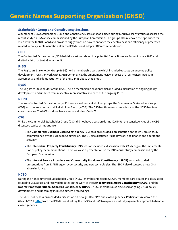#### **Stakeholder Group and Constituency Sessions**

A number of GNSO Stakeholder Group and Constituency sessions took place during ICANN73. Many groups discussed the recent study on DNS abuse commissioned by the European Commission. The groups also reviewed their priorities for 2022 with the ICANN Board and provided suggestions on how to enhance the effectiveness and efficiency of processes related to policy implementation after the ICANN Board adopts PDP recommendations.

#### **CPH**

The Contracted Parties House (CPH) held discussions related to a potential Global Domains Summit in late 2022 and drafted a list of potential topics for it.

#### **RrSG**

The Registrars Stakeholder Group (RrSG) held a membership session which included updates on ongoing policy development, registrar work with ICANN Compliance, the amendment review process of gTLD Registry-Registrar Agreements, and a demonstration of the RrSG DNS abuse triage tool.

#### **RySG**

The Registries Stakeholder Group (RySG) held a membership session which included a discussion of ongoing policy development and updates from respective representatives to each of the ongoing PDPs.

#### **NCPH**

The Non-Contracted Parties House (NCPH) consists of two stakeholder groups: the Commercial Stakeholder Group (CSG) and the Noncommercial Stakeholder Group (NCSG). The CSG has three constituencies, and the NCSG has two constituencies. The NCPH did not have a session during ICANN73.

#### **CSG**

While the Commercial Stakeholder Group (CSG) did not have a session during ICANN73, the constituencies of the CSG discussed topics of importance:

- The **Commercial Business Users Constituency (BC)** session included a presentation on the DNS abuse study commissioned by the European Commission. The BC also discussed its policy work and finance and operations activities.
- The **Intellectual Property Constituency (IPC)** session included a discussion with ICANN org on the implementation of policy recommendations. There was also a presentation on the DNS abuse study commissioned by the European Commission.
- The **Internet Service Providers and Connectivity Providers Constituency (ISPCP)** session included presentations from ICANN org on cybersecurity and new technologies. The ISPCP also discussed a new DNS abuse initiative.

#### **NCSG**

During the Noncommercial Stakeholder Group (NCSG) membership session, NCSG members participated in a discussion related to DNS abuse and received updates on the work of the **Noncommercial Users Constituency (NCUC)** and the **Not-for-Profit Operational Concerns Constituency (NPOC)**. NCSG members also discussed ongoing GNSO policy development and upcoming Public Comment proceedings.

The NCSG policy session included a discussion on New gTLD SubPro and closed generics. Participants reviewed the 6 March 2022 **[letter](https://www.icann.org/en/system/files/correspondence/botterman-to-ismail-fouquart-06mar22-en.pdf)** from the ICANN Board asking the GNSO and GAC to explore a mutually agreeable approach to handle closed generics.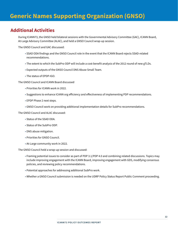# **Generic Names Supporting Organization (GNSO)**

# **Additional Activities**

During ICANN73, the GNSO held bilateral sessions with the Governmental Advisory Committee (GAC), ICANN Board, At-Large Advisory Committee (ALAC), and held a GNSO Council wrap-up session.

The GNSO Council and GAC discussed:

- SSAD ODA findings and the GNSO Council role in the event that the ICANN Board rejects SSAD-related recommendations.
- The extent to which the SubPro ODP will include a cost-benefit analysis of the 2012 round of new gTLDs.
- Expected outputs of the GNSO Council DNS Abuse Small Team.
- The status of EPDP-IGO.

The GNSO Council and ICANN Board discussed

- Priorities for ICANN work in 2022.
- Suggestions to enhance ICANN org efficiency and effectiveness of implementing PDP recommendations.
- EPDP Phase 2 next steps.
- GNSO Council work on providing additional implementation details for SubPro recommendations.

The GNSO Council and ALAC discussed:

- Status of the SSAD ODA.
- Status of the SubPro ODP.
- DNS abuse mitigation.
- Priorities for GNSO Council.
- At-Large community work in 2022.

The GNSO Council held a wrap-up session and discussed:

- Framing potential issues to consider as part of PDP 3.1/PDP 4.0 and combining related discussions. Topics may include improving engagement with the ICANN Board, improving engagement with GDS, modifying consensus policies, and reviewing policy recommendations.
- Potential approaches for addressing additional SubPro work.
- Whether a GNSO Council submission is needed on the UDRP Policy Status Report Public Comment proceeding.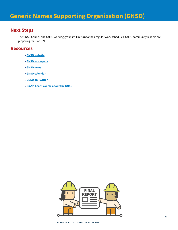# **Next Steps**

The GNSO Council and GNSO working groups will return to their regular work schedules. GNSO community leaders are preparing for ICANN74.

## **Resources**

- **[GNSO website](https://gnso.icann.org/en/news)**
- **[GNSO workspace](https://community.icann.org/category/gnso)**
- **[GNSO news](https://gnso.icann.org/en/news)**
- **[GNSO calendar](https://gnso.icann.org/en/group-activities/calendar)**
- **[GNSO on Twitter](https://twitter.com/icann_gnso)**
- **[ICANN Learn course about the GNSO](https://learn.icann.org)**

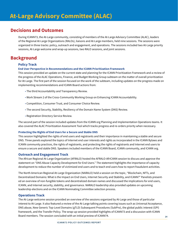<span id="page-13-0"></span>During ICANN73, the At-Large community, consisting of members of the At-Large Advisory Committee (ALAC), leaders of the Regional At-Large Organizations (RALOs), liaisons and At-Large members, held nine sessions. The sessions were organized in three tracks: policy, outreach and engagement, and operations. The sessions included two At-Large priority sessions, At-Large welcome and wrap-up sessions, two RALO sessions, and joint sessions.

# **Background**

#### **Policy Track**

#### **End User Perspective in Recommendations and the ICANN Prioritization Framework**

This session provided an update on the current state and planning for the ICANN Prioritization Framework and a review of the progress of the ALAC Operations, Finance, and Budget Working Group subteam on the matter of overall prioritization for At-Large. The first part of the session focused on the work of the subteam, including updates on the progress made on implementing recommendations and ICANN Board actions from:

- The third Accountability and Transparency Review.
- Work Stream 2 of the Cross-Community Working Group on Enhancing ICANN Accountability.
- Competition, Consumer Trust, and Consumer Choice Review.
- The second Security, Stability, Resiliency of the Domain Name System (DNS) Review.
- Registration Directory Service Review.

The second part of the session included updates from the ICANN org Planning and Implementation Operations teams. It also covered the ALAC Prioritization Assessment Tool which tracks progress and re-orders priority when necessary.

#### **Protecting the Rights of End Users for a Secure and Stable DNS**

This session highlighted the rights of end users and registrants and their importance in maintaining a stable and secure DNS. Three panels explored the topics of Internet end user interests and rights as incorporated in the ICANN Bylaws and ICANN community practices, the rights of registrants, and protecting the rights of registrants and Internet end users to ensure a secure and stable DNS. Speakers included members of the ICANN Board, ICANN community, and ICANN org.

#### **Outreach and Engagement Track**

The African Regional At-Large Organization (AFRALO) hosted the AFRALO-AfrICANN session to discuss and approve the statement on "DNS Abuse Capacity Development for End Users." The statement highlights the importance of capacity development to reduce the number of victimized end users and to teach end users how to report fraudulent activities.

The North American Regional At-Large Organization (NARALO) held a session on the topic, "Blockchain, NFTs, and Decentralized Domains: What is the Impact on End Users, Internet Security and Stability, and ICANN?" Panelists presented an overview of non-fungible tokens and decentralized domain names and discussed the implications for end users, ICANN, and Internet security, stability, and governance. NARALO leadership also provided updates on upcoming leadership elections and on the ICANN Nominating Committee selection process.

#### **Operations Track**

The At-Large welcome session provided an overview of the sessions organized by At-Large and those of particular interest to At-Large. It also featured a review of the At-Large talking points covering issues such as Universal Acceptance, DNS abuse, New Generic Top-Level Domains (gTLD) Subsequent Procedures (SubPro), the global public interest (GPI) framework, and the Transfer Policy. The wrap-up session provided highlights of ICANN73 and a discussion with ICANN Board members. The session concluded with an initial preview of ICANN74.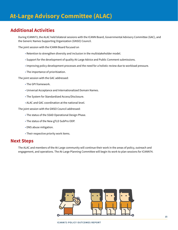# **Additional Activities**

During ICANN73, the ALAC held bilateral sessions with the ICANN Board, Governmental Advisory Committee (GAC), and the Generic Names Supporting Organization (GNSO) Council.

The joint session with the ICANN Board focused on

- Retention to strengthen diversity and inclusion in the multistakeholder model.
- Support for the development of quality At-Large Advice and Public Comment submissions.
- Improving policy development processes and the need for a holistic review due to workload pressure.
- The importance of prioritization.

The joint session with the GAC addressed:

- The GPI framework.
- Universal Acceptance and Internationalized Domain Names.
- The System for Standardized Access/Disclosure.
- ALAC and GAC coordination at the national level.

The joint session with the GNSO Council addressed:

- The status of the SSAD Operational Design Phase.
- The status of the New gTLD SubPro ODP.
- DNS abuse mitigation.
- Their respective priority work items.

## **Next Steps**

The ALAC and members of the At-Large community will continue their work in the areas of policy, outreach and engagement, and operations. The At-Large Planning Committee will begin its work to plan sessions for ICANN74.

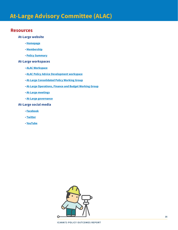## **Resources**

#### **At-Large website**

- **[Homepage](https://atlarge.icann.org/)**
- **[Membership](https://atlarge.icann.org/get-involved/join-us)**
- **[Policy Summary](https://atlarge.icann.org/policy-summary)**

#### **At-Large workspaces**

- **[ALAC Workspace](https://community.icann.org/pages/viewpage.action?pageId=2265510)**
- **[ALAC Policy Advice Development workspace](https://community.icann.org/display/alacpolicydev/At-Large+Policy+Advice+Development+Page)**
- **[At-Large Consolidated Policy Working Group](https://community.icann.org/pages/viewpage.action?pageId=82411661)**
- **[At-Large Operations, Finance and Budget Working Group](https://community.icann.org/pages/viewpage.action?pageId=132940946)**
- **[At-Large meetings](https://community.icann.org/display/atlarge/ICANN+Meetings)**
- **[At-Large governance](https://community.icann.org/display/AG/At-Large+Governance+Home)**

#### **At-Large social media**

- **[Facebook](https://www.facebook.com/icannatlarge)**
- **[Twitter](https://twitter.com/ICANNatlarge)**
- **[YouTube](https://www.youtube.com/user/ICANNAtLarge)**

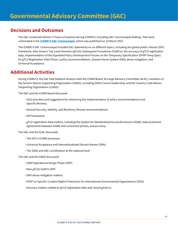<span id="page-16-0"></span>The GAC conducted almost 17 hours of sessions during ICANN73, including GAC Communiqué drafting. That work culminated in the **[ICANN73 GAC Communiqué](https://gac.icann.org/contentMigrated/icann73-gac-communique)**, which was published on 14 March 2022.

The ICANN73 GAC Communiqué included GAC statements on six different topics, including the global public interest (GPI) framework, New Generic Top-Level Domains (gTLDs) Subsequent Procedures (SubPro), the accuracy of gTLD registration data, implementation of the Expedited Policy Development Process on the Temporary Specification (EPDP-Temp Spec) for gTLD Registration Data Phase 1 policy recommendations, Domain Name System (DNS) abuse mitigation, and Universal Acceptance.

# **Additional Activities**

During ICANN73, the GAC held bilateral sessions with the ICANN Board, At-Large Advisory Committee (ALAC); members of the Generic Names Supporting Organization (GNSO), including GNSO Council leadership; and the Country Code Names Supporting Organization (ccNSO).

The GAC and the ICANN Board discussed:

- 2022 priorities and suggestions for enhancing the implementation of policy recommendations and Specific Reviews.
- Second Security, Stability, and Resiliency Review recommendations.
- GPI framework.
- gTLD registration data matters, including the System for Standardized Access/Disclosure (SSAD), data protection agreements between ICANN and contracted parties, and accuracy.

The GAC and the ALAC discussed:

- The GPI in ICANN processes.
- Universal Acceptance and Internationalized Domain Names (IDNs).
- The SSAD and GAC coordination at the national level.

The GAC and the GNSO discussed:

- SSAD Operational Design Phase (ODP).
- New gTLDs SubPro ODP.
- DNS abuse mitigation matters.
- EPDP on Specific Curative Rights Protections for International Governmental Organizations (IGOs).
- Accuracy matters related to gTLD registration data and closed generics.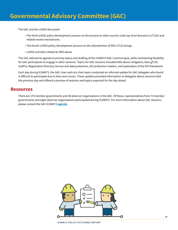The GAC and the ccNSO discussed:

- The third ccNSO policy development process on the process to retire country code top-level domains (ccTLDs) and related review mechanisms.
- The fourth ccNSO policy development process on the (de)selection of IDN ccTLD strings.
- ccNSO activities related to DNS abuse.

The GAC tailored its agenda to priority topics and drafting of the ICANN73 GAC Communiqué, while maintaining flexibility for GAC participants to engage in other sessions. Topics for GAC sessions included DNS abuse mitigation, New gTLDs SubPro, Registration Directory Service and data protection, IGO protection matters, and exploration of the GPI framework.

Each day during ICANN73, the GAC chair and vice chair team conducted an informal update for GAC delegates who found it difficult to participate due to time zone issues. These updates provided information to delegates about sessions held the previous day and offered a preview of sessions and topics expected for the day ahead.

# **Resources**

There are 179 member governments and 38 observer organizations in the GAC. Of those, representatives from 73 member governments and eight observer organizations participated during ICANN73. For more information about GAC sessions, please consult the GAC ICANN73 **[agenda](https://gac.icann.org/agendas/icann73-virtual-meeting-agenda)**.

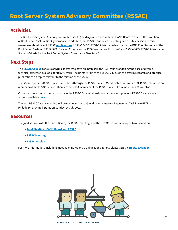# <span id="page-18-0"></span>**Activities**

The Root Server System Advisory Committee (RSSAC) held a joint session with the ICANN Board to discuss the evolution of Root Server System (RSS) governance. In addition, the RSSAC conducted a meeting and a public session to raise awareness about recent RSSAC **[publications](https://www.icann.org/groups/rssac/documents)**: "RSSAC047v2: RSSAC Advisory on Metrics for the DNS Root Servers and the Root Server System," "RSSAC058: Success Criteria for the RSS Governance Structure," and "RSSAC059: RSSAC Advisory on Success Criteria for the Root Server System Governance Structure."

# **Next Steps**

The **[RSSAC Caucus](https://www.icann.org/groups/rssac-caucus)** consists of DNS experts who have an interest in the RSS, thus broadening the base of diverse, technical expertise available for RSSAC work. The primary role of the RSSAC Caucus is to perform research and produce publications on topics relevant to the mission of the RSSAC.

The RSSAC appoints RSSAC Caucus members through the RSSAC Caucus Membership Committee. All RSSAC members are members of the RSSAC Caucus. There are over 100 members of the RSSAC Caucus from more than 20 countries.

Currently, there is no active work party in the RSSAC Caucus. More information about previous RSSAC Caucus work p arties is available **[here](https://www.icann.org/resources/pages/rssac-caucus-work-parties-2017-06-20-en)**.

The next RSSAC Caucus meeting will be conducted in conjunction with Internet Engineering Task Force (IETF) 114 in Philadelphia, United States on Sunday, 24 July 2022.

# **Resources**

The joint session with the ICANN Board, the RSSAC meeting, and the RSSAC session were open to observation:

- **[Joint Meeting: ICANN Board and RSSAC](https://73.schedule.icann.org/meetings/3gSTTGkvScHiXy8v6)**
- **[RSSAC Meeting](https://73.schedule.icann.org/meetings/Wc4H5Zd24zkwegeYi)**
- **[RSSAC Session](https://73.schedule.icann.org/meetings/DDh5fkbxzScJaW57n)**

For more information, including meeting minutes and a publications library, please visit the **[RSSAC webpage](https://www.icann.org/groups/rssac)**.